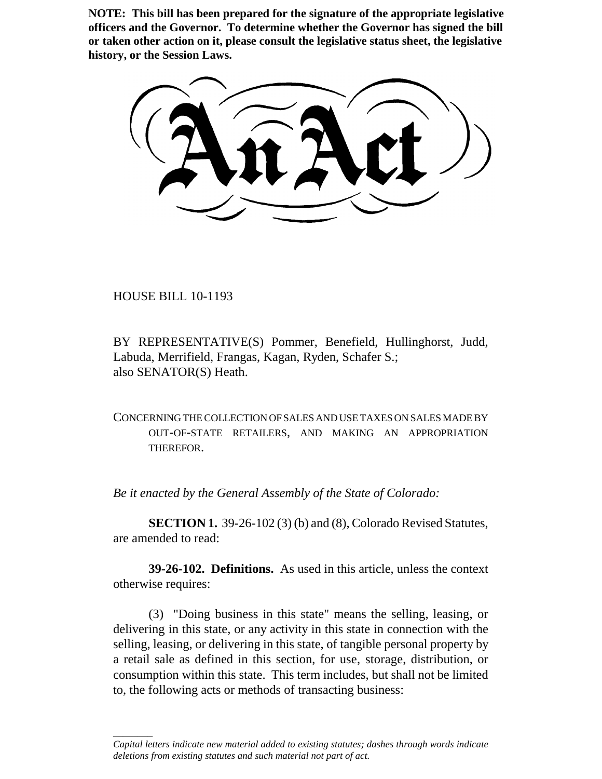**NOTE: This bill has been prepared for the signature of the appropriate legislative officers and the Governor. To determine whether the Governor has signed the bill or taken other action on it, please consult the legislative status sheet, the legislative history, or the Session Laws.**

HOUSE BILL 10-1193

\_\_\_\_\_\_\_\_

BY REPRESENTATIVE(S) Pommer, Benefield, Hullinghorst, Judd, Labuda, Merrifield, Frangas, Kagan, Ryden, Schafer S.; also SENATOR(S) Heath.

CONCERNING THE COLLECTION OF SALES AND USE TAXES ON SALES MADE BY OUT-OF-STATE RETAILERS, AND MAKING AN APPROPRIATION THEREFOR.

*Be it enacted by the General Assembly of the State of Colorado:*

**SECTION 1.** 39-26-102 (3) (b) and (8), Colorado Revised Statutes, are amended to read:

**39-26-102. Definitions.** As used in this article, unless the context otherwise requires:

(3) "Doing business in this state" means the selling, leasing, or delivering in this state, or any activity in this state in connection with the selling, leasing, or delivering in this state, of tangible personal property by a retail sale as defined in this section, for use, storage, distribution, or consumption within this state. This term includes, but shall not be limited to, the following acts or methods of transacting business:

*Capital letters indicate new material added to existing statutes; dashes through words indicate deletions from existing statutes and such material not part of act.*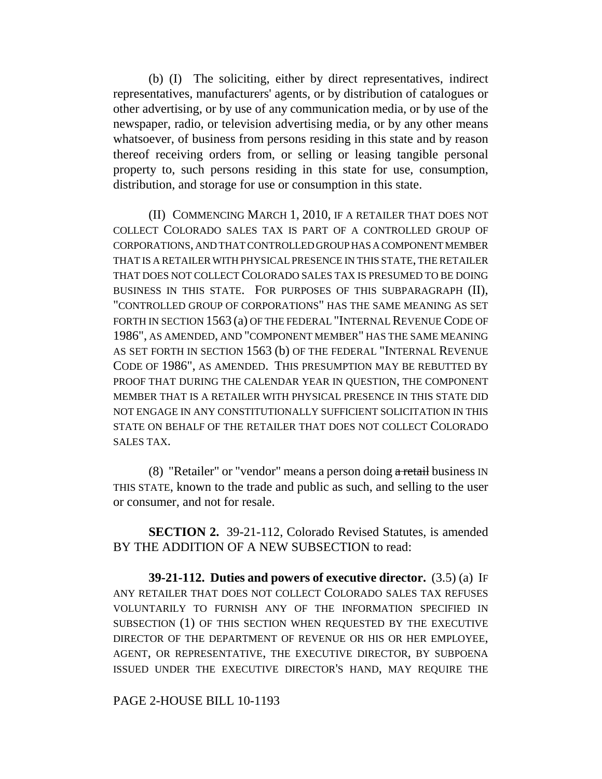(b) (I) The soliciting, either by direct representatives, indirect representatives, manufacturers' agents, or by distribution of catalogues or other advertising, or by use of any communication media, or by use of the newspaper, radio, or television advertising media, or by any other means whatsoever, of business from persons residing in this state and by reason thereof receiving orders from, or selling or leasing tangible personal property to, such persons residing in this state for use, consumption, distribution, and storage for use or consumption in this state.

(II) COMMENCING MARCH 1, 2010, IF A RETAILER THAT DOES NOT COLLECT COLORADO SALES TAX IS PART OF A CONTROLLED GROUP OF CORPORATIONS, AND THAT CONTROLLED GROUP HAS A COMPONENT MEMBER THAT IS A RETAILER WITH PHYSICAL PRESENCE IN THIS STATE, THE RETAILER THAT DOES NOT COLLECT COLORADO SALES TAX IS PRESUMED TO BE DOING BUSINESS IN THIS STATE. FOR PURPOSES OF THIS SUBPARAGRAPH (II), "CONTROLLED GROUP OF CORPORATIONS" HAS THE SAME MEANING AS SET FORTH IN SECTION 1563 (a) OF THE FEDERAL "INTERNAL REVENUE CODE OF 1986", AS AMENDED, AND "COMPONENT MEMBER" HAS THE SAME MEANING AS SET FORTH IN SECTION 1563 (b) OF THE FEDERAL "INTERNAL REVENUE CODE OF 1986", AS AMENDED. THIS PRESUMPTION MAY BE REBUTTED BY PROOF THAT DURING THE CALENDAR YEAR IN QUESTION, THE COMPONENT MEMBER THAT IS A RETAILER WITH PHYSICAL PRESENCE IN THIS STATE DID NOT ENGAGE IN ANY CONSTITUTIONALLY SUFFICIENT SOLICITATION IN THIS STATE ON BEHALF OF THE RETAILER THAT DOES NOT COLLECT COLORADO SALES TAX.

(8) "Retailer" or "vendor" means a person doing  $\alpha$  retail business IN THIS STATE, known to the trade and public as such, and selling to the user or consumer, and not for resale.

**SECTION 2.** 39-21-112, Colorado Revised Statutes, is amended BY THE ADDITION OF A NEW SUBSECTION to read:

**39-21-112. Duties and powers of executive director.** (3.5) (a) IF ANY RETAILER THAT DOES NOT COLLECT COLORADO SALES TAX REFUSES VOLUNTARILY TO FURNISH ANY OF THE INFORMATION SPECIFIED IN SUBSECTION (1) OF THIS SECTION WHEN REQUESTED BY THE EXECUTIVE DIRECTOR OF THE DEPARTMENT OF REVENUE OR HIS OR HER EMPLOYEE, AGENT, OR REPRESENTATIVE, THE EXECUTIVE DIRECTOR, BY SUBPOENA ISSUED UNDER THE EXECUTIVE DIRECTOR'S HAND, MAY REQUIRE THE

## PAGE 2-HOUSE BILL 10-1193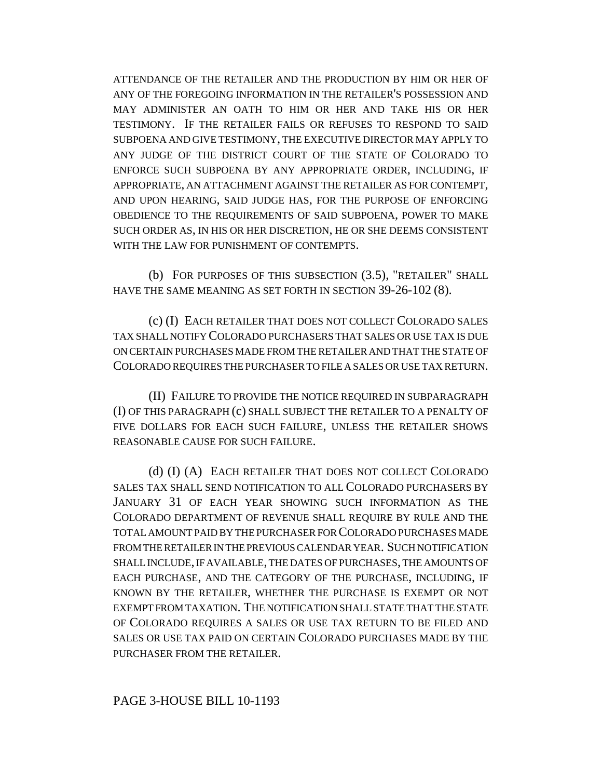ATTENDANCE OF THE RETAILER AND THE PRODUCTION BY HIM OR HER OF ANY OF THE FOREGOING INFORMATION IN THE RETAILER'S POSSESSION AND MAY ADMINISTER AN OATH TO HIM OR HER AND TAKE HIS OR HER TESTIMONY. IF THE RETAILER FAILS OR REFUSES TO RESPOND TO SAID SUBPOENA AND GIVE TESTIMONY, THE EXECUTIVE DIRECTOR MAY APPLY TO ANY JUDGE OF THE DISTRICT COURT OF THE STATE OF COLORADO TO ENFORCE SUCH SUBPOENA BY ANY APPROPRIATE ORDER, INCLUDING, IF APPROPRIATE, AN ATTACHMENT AGAINST THE RETAILER AS FOR CONTEMPT, AND UPON HEARING, SAID JUDGE HAS, FOR THE PURPOSE OF ENFORCING OBEDIENCE TO THE REQUIREMENTS OF SAID SUBPOENA, POWER TO MAKE SUCH ORDER AS, IN HIS OR HER DISCRETION, HE OR SHE DEEMS CONSISTENT WITH THE LAW FOR PUNISHMENT OF CONTEMPTS.

(b) FOR PURPOSES OF THIS SUBSECTION (3.5), "RETAILER" SHALL HAVE THE SAME MEANING AS SET FORTH IN SECTION 39-26-102 (8).

(c) (I) EACH RETAILER THAT DOES NOT COLLECT COLORADO SALES TAX SHALL NOTIFY COLORADO PURCHASERS THAT SALES OR USE TAX IS DUE ON CERTAIN PURCHASES MADE FROM THE RETAILER AND THAT THE STATE OF COLORADO REQUIRES THE PURCHASER TO FILE A SALES OR USE TAX RETURN.

(II) FAILURE TO PROVIDE THE NOTICE REQUIRED IN SUBPARAGRAPH (I) OF THIS PARAGRAPH (c) SHALL SUBJECT THE RETAILER TO A PENALTY OF FIVE DOLLARS FOR EACH SUCH FAILURE, UNLESS THE RETAILER SHOWS REASONABLE CAUSE FOR SUCH FAILURE.

(d) (I) (A) EACH RETAILER THAT DOES NOT COLLECT COLORADO SALES TAX SHALL SEND NOTIFICATION TO ALL COLORADO PURCHASERS BY JANUARY 31 OF EACH YEAR SHOWING SUCH INFORMATION AS THE COLORADO DEPARTMENT OF REVENUE SHALL REQUIRE BY RULE AND THE TOTAL AMOUNT PAID BY THE PURCHASER FOR COLORADO PURCHASES MADE FROM THE RETAILER IN THE PREVIOUS CALENDAR YEAR. SUCH NOTIFICATION SHALL INCLUDE, IF AVAILABLE, THE DATES OF PURCHASES, THE AMOUNTS OF EACH PURCHASE, AND THE CATEGORY OF THE PURCHASE, INCLUDING, IF KNOWN BY THE RETAILER, WHETHER THE PURCHASE IS EXEMPT OR NOT EXEMPT FROM TAXATION. THE NOTIFICATION SHALL STATE THAT THE STATE OF COLORADO REQUIRES A SALES OR USE TAX RETURN TO BE FILED AND SALES OR USE TAX PAID ON CERTAIN COLORADO PURCHASES MADE BY THE PURCHASER FROM THE RETAILER.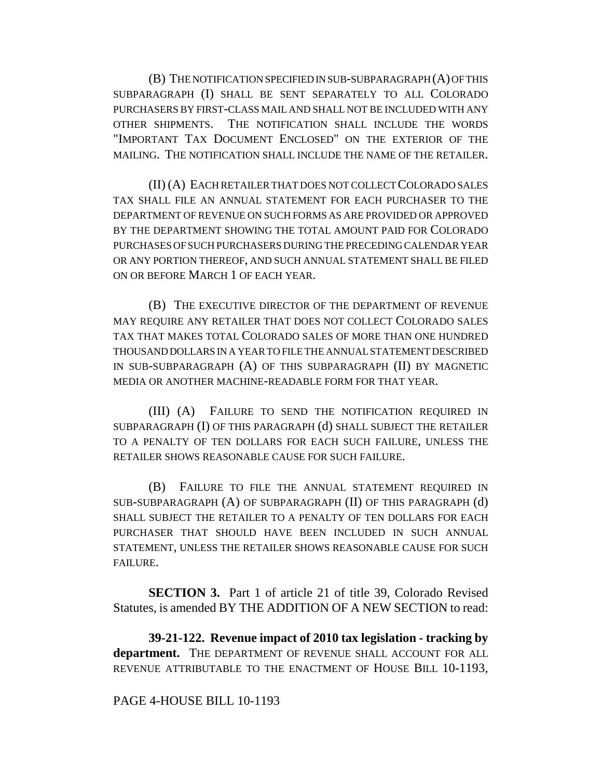(B) THE NOTIFICATION SPECIFIED IN SUB-SUBPARAGRAPH (A) OF THIS SUBPARAGRAPH (I) SHALL BE SENT SEPARATELY TO ALL COLORADO PURCHASERS BY FIRST-CLASS MAIL AND SHALL NOT BE INCLUDED WITH ANY OTHER SHIPMENTS. THE NOTIFICATION SHALL INCLUDE THE WORDS "IMPORTANT TAX DOCUMENT ENCLOSED" ON THE EXTERIOR OF THE MAILING. THE NOTIFICATION SHALL INCLUDE THE NAME OF THE RETAILER.

(II) (A) EACH RETAILER THAT DOES NOT COLLECT COLORADO SALES TAX SHALL FILE AN ANNUAL STATEMENT FOR EACH PURCHASER TO THE DEPARTMENT OF REVENUE ON SUCH FORMS AS ARE PROVIDED OR APPROVED BY THE DEPARTMENT SHOWING THE TOTAL AMOUNT PAID FOR COLORADO PURCHASES OF SUCH PURCHASERS DURING THE PRECEDING CALENDAR YEAR OR ANY PORTION THEREOF, AND SUCH ANNUAL STATEMENT SHALL BE FILED ON OR BEFORE MARCH 1 OF EACH YEAR.

(B) THE EXECUTIVE DIRECTOR OF THE DEPARTMENT OF REVENUE MAY REQUIRE ANY RETAILER THAT DOES NOT COLLECT COLORADO SALES TAX THAT MAKES TOTAL COLORADO SALES OF MORE THAN ONE HUNDRED THOUSAND DOLLARS IN A YEAR TO FILE THE ANNUAL STATEMENT DESCRIBED IN SUB-SUBPARAGRAPH (A) OF THIS SUBPARAGRAPH (II) BY MAGNETIC MEDIA OR ANOTHER MACHINE-READABLE FORM FOR THAT YEAR.

(III) (A) FAILURE TO SEND THE NOTIFICATION REQUIRED IN SUBPARAGRAPH (I) OF THIS PARAGRAPH (d) SHALL SUBJECT THE RETAILER TO A PENALTY OF TEN DOLLARS FOR EACH SUCH FAILURE, UNLESS THE RETAILER SHOWS REASONABLE CAUSE FOR SUCH FAILURE.

(B) FAILURE TO FILE THE ANNUAL STATEMENT REQUIRED IN SUB-SUBPARAGRAPH (A) OF SUBPARAGRAPH (II) OF THIS PARAGRAPH (d) SHALL SUBJECT THE RETAILER TO A PENALTY OF TEN DOLLARS FOR EACH PURCHASER THAT SHOULD HAVE BEEN INCLUDED IN SUCH ANNUAL STATEMENT, UNLESS THE RETAILER SHOWS REASONABLE CAUSE FOR SUCH FAILURE.

**SECTION 3.** Part 1 of article 21 of title 39, Colorado Revised Statutes, is amended BY THE ADDITION OF A NEW SECTION to read:

**39-21-122. Revenue impact of 2010 tax legislation - tracking by department.** THE DEPARTMENT OF REVENUE SHALL ACCOUNT FOR ALL REVENUE ATTRIBUTABLE TO THE ENACTMENT OF HOUSE BILL 10-1193,

## PAGE 4-HOUSE BILL 10-1193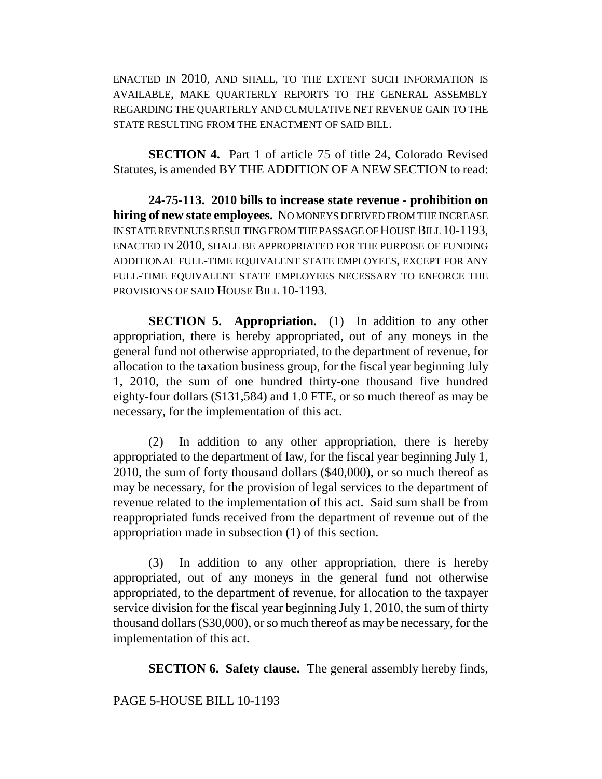ENACTED IN 2010, AND SHALL, TO THE EXTENT SUCH INFORMATION IS AVAILABLE, MAKE QUARTERLY REPORTS TO THE GENERAL ASSEMBLY REGARDING THE QUARTERLY AND CUMULATIVE NET REVENUE GAIN TO THE STATE RESULTING FROM THE ENACTMENT OF SAID BILL.

**SECTION 4.** Part 1 of article 75 of title 24, Colorado Revised Statutes, is amended BY THE ADDITION OF A NEW SECTION to read:

**24-75-113. 2010 bills to increase state revenue - prohibition on hiring of new state employees.** NO MONEYS DERIVED FROM THE INCREASE IN STATE REVENUES RESULTING FROM THE PASSAGE OF HOUSE BILL 10-1193, ENACTED IN 2010, SHALL BE APPROPRIATED FOR THE PURPOSE OF FUNDING ADDITIONAL FULL-TIME EQUIVALENT STATE EMPLOYEES, EXCEPT FOR ANY FULL-TIME EQUIVALENT STATE EMPLOYEES NECESSARY TO ENFORCE THE PROVISIONS OF SAID HOUSE BILL 10-1193.

**SECTION 5. Appropriation.** (1) In addition to any other appropriation, there is hereby appropriated, out of any moneys in the general fund not otherwise appropriated, to the department of revenue, for allocation to the taxation business group, for the fiscal year beginning July 1, 2010, the sum of one hundred thirty-one thousand five hundred eighty-four dollars (\$131,584) and 1.0 FTE, or so much thereof as may be necessary, for the implementation of this act.

(2) In addition to any other appropriation, there is hereby appropriated to the department of law, for the fiscal year beginning July 1, 2010, the sum of forty thousand dollars (\$40,000), or so much thereof as may be necessary, for the provision of legal services to the department of revenue related to the implementation of this act. Said sum shall be from reappropriated funds received from the department of revenue out of the appropriation made in subsection (1) of this section.

(3) In addition to any other appropriation, there is hereby appropriated, out of any moneys in the general fund not otherwise appropriated, to the department of revenue, for allocation to the taxpayer service division for the fiscal year beginning July 1, 2010, the sum of thirty thousand dollars (\$30,000), or so much thereof as may be necessary, for the implementation of this act.

**SECTION 6. Safety clause.** The general assembly hereby finds,

## PAGE 5-HOUSE BILL 10-1193